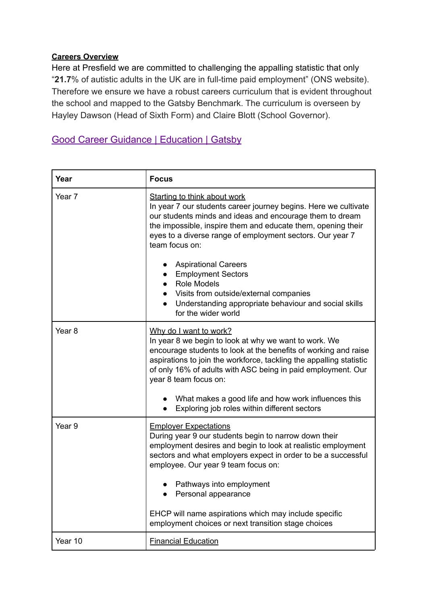## **Careers Overview**

Here at Presfield we are committed to challenging the appalling statistic that only "**21.7**% of autistic adults in the UK are in full-time paid employment" (ONS website). Therefore we ensure we have a robust careers curriculum that is evident throughout the school and mapped to the Gatsby Benchmark. The curriculum is overseen by Hayley Dawson (Head of Sixth Form) and Claire Blott (School Governor).

## [Good Career Guidance | Education | Gatsby](http://www.gatsby.org.uk/education/focus-areas/good-career-guidance)

| Year              | <b>Focus</b>                                                                                                                                                                                                                                                                                                                                                              |
|-------------------|---------------------------------------------------------------------------------------------------------------------------------------------------------------------------------------------------------------------------------------------------------------------------------------------------------------------------------------------------------------------------|
| Year 7            | <b>Starting to think about work</b><br>In year 7 our students career journey begins. Here we cultivate<br>our students minds and ideas and encourage them to dream<br>the impossible, inspire them and educate them, opening their<br>eyes to a diverse range of employment sectors. Our year 7<br>team focus on:                                                         |
|                   | <b>Aspirational Careers</b><br><b>Employment Sectors</b><br><b>Role Models</b><br>Visits from outside/external companies<br>Understanding appropriate behaviour and social skills<br>$\bullet$<br>for the wider world                                                                                                                                                     |
| Year <sub>8</sub> | Why do I want to work?<br>In year 8 we begin to look at why we want to work. We<br>encourage students to look at the benefits of working and raise<br>aspirations to join the workforce, tackling the appalling statistic<br>of only 16% of adults with ASC being in paid employment. Our<br>year 8 team focus on:<br>What makes a good life and how work influences this |
|                   | Exploring job roles within different sectors                                                                                                                                                                                                                                                                                                                              |
| Year <sub>9</sub> | <b>Employer Expectations</b><br>During year 9 our students begin to narrow down their<br>employment desires and begin to look at realistic employment<br>sectors and what employers expect in order to be a successful<br>employee. Our year 9 team focus on:                                                                                                             |
|                   | Pathways into employment<br>Personal appearance                                                                                                                                                                                                                                                                                                                           |
|                   | EHCP will name aspirations which may include specific<br>employment choices or next transition stage choices                                                                                                                                                                                                                                                              |
| Year 10           | <b>Financial Education</b>                                                                                                                                                                                                                                                                                                                                                |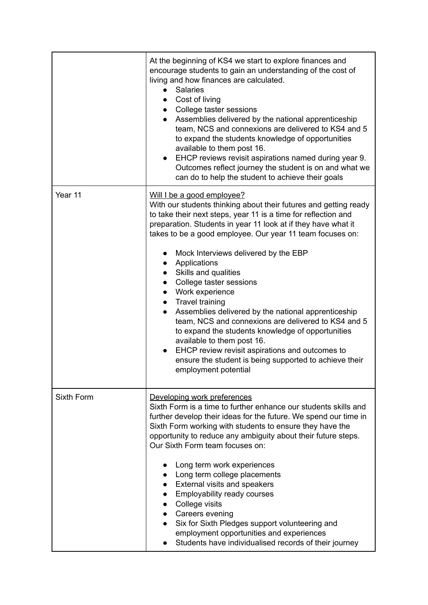|            | At the beginning of KS4 we start to explore finances and<br>encourage students to gain an understanding of the cost of<br>living and how finances are calculated.<br><b>Salaries</b><br>$\bullet$<br>Cost of living<br>• College taster sessions<br>Assemblies delivered by the national apprenticeship<br>$\bullet$<br>team, NCS and connexions are delivered to KS4 and 5<br>to expand the students knowledge of opportunities<br>available to them post 16.<br>EHCP reviews revisit aspirations named during year 9.<br>$\bullet$<br>Outcomes reflect journey the student is on and what we<br>can do to help the student to achieve their goals                                                                                                                                                                                                                     |
|------------|-------------------------------------------------------------------------------------------------------------------------------------------------------------------------------------------------------------------------------------------------------------------------------------------------------------------------------------------------------------------------------------------------------------------------------------------------------------------------------------------------------------------------------------------------------------------------------------------------------------------------------------------------------------------------------------------------------------------------------------------------------------------------------------------------------------------------------------------------------------------------|
| Year 11    | Will I be a good employee?<br>With our students thinking about their futures and getting ready<br>to take their next steps, year 11 is a time for reflection and<br>preparation. Students in year 11 look at if they have what it<br>takes to be a good employee. Our year 11 team focuses on:<br>Mock Interviews delivered by the EBP<br>$\bullet$<br>Applications<br>$\bullet$<br>Skills and qualities<br>$\bullet$<br>College taster sessions<br>$\bullet$<br>• Work experience<br>• Travel training<br>Assemblies delivered by the national apprenticeship<br>$\bullet$<br>team, NCS and connexions are delivered to KS4 and 5<br>to expand the students knowledge of opportunities<br>available to them post 16.<br>EHCP review revisit aspirations and outcomes to<br>$\bullet$<br>ensure the student is being supported to achieve their<br>employment potential |
| Sixth Form | Developing work preferences<br>Sixth Form is a time to further enhance our students skills and<br>further develop their ideas for the future. We spend our time in<br>Sixth Form working with students to ensure they have the<br>opportunity to reduce any ambiguity about their future steps.<br>Our Sixth Form team focuses on:<br>Long term work experiences<br>Long term college placements<br><b>External visits and speakers</b><br><b>Employability ready courses</b><br>• College visits<br>• Careers evening<br>Six for Sixth Pledges support volunteering and<br>employment opportunities and experiences<br>Students have individualised records of their journey                                                                                                                                                                                           |